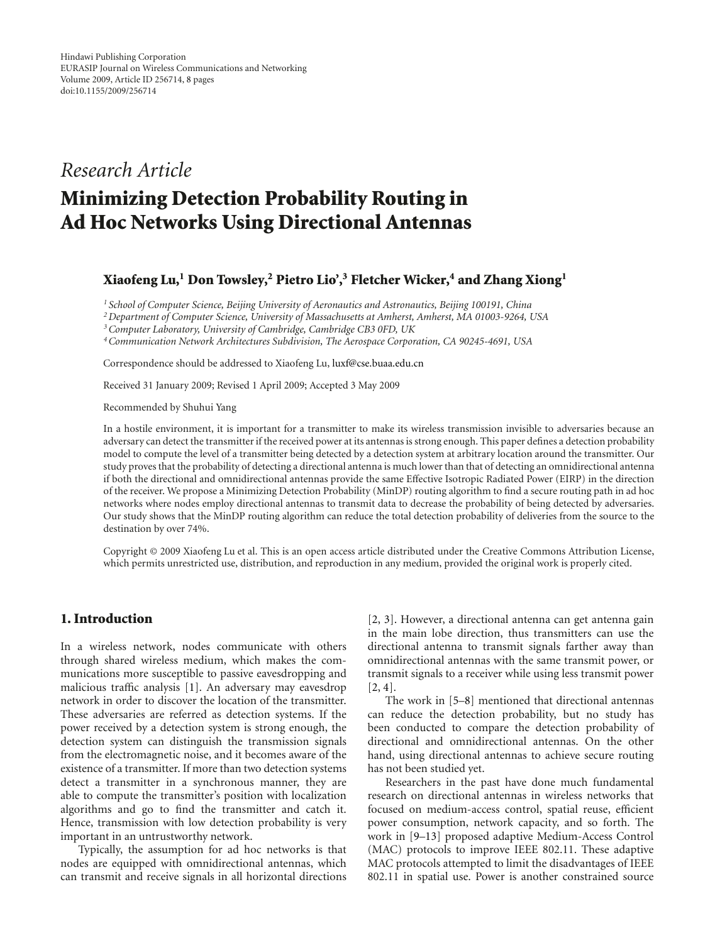# *Research Article*

# **Minimizing Detection Probability Routing in Ad Hoc Networks Using Directional Antennas**

# **Xiaofeng Lu,1 Don Towsley,2 Pietro Lio',3 Fletcher Wicker,4 and Zhang Xiong1**

*<sup>1</sup> School of Computer Science, Beijing University of Aeronautics and Astronautics, Beijing 100191, China*

*2Department of Computer Science, University of Massachusetts at Amherst, Amherst, MA 01003-9264, USA*

*3Computer Laboratory, University of Cambridge, Cambridge CB3 0FD, UK*

*4Communication Network Architectures Subdivision, The Aerospace Corporation, CA 90245-4691, USA*

Correspondence should be addressed to Xiaofeng Lu, luxf@cse.buaa.edu.cn

Received 31 January 2009; Revised 1 April 2009; Accepted 3 May 2009

Recommended by Shuhui Yang

In a hostile environment, it is important for a transmitter to make its wireless transmission invisible to adversaries because an adversary can detect the transmitter if the received power at its antennas is strong enough. This paper defines a detection probability model to compute the level of a transmitter being detected by a detection system at arbitrary location around the transmitter. Our study proves that the probability of detecting a directional antenna is much lower than that of detecting an omnidirectional antenna if both the directional and omnidirectional antennas provide the same Effective Isotropic Radiated Power (EIRP) in the direction of the receiver. We propose a Minimizing Detection Probability (MinDP) routing algorithm to find a secure routing path in ad hoc networks where nodes employ directional antennas to transmit data to decrease the probability of being detected by adversaries. Our study shows that the MinDP routing algorithm can reduce the total detection probability of deliveries from the source to the destination by over 74%.

Copyright © 2009 Xiaofeng Lu et al. This is an open access article distributed under the Creative Commons Attribution License, which permits unrestricted use, distribution, and reproduction in any medium, provided the original work is properly cited.

#### **1. Introduction**

In a wireless network, nodes communicate with others through shared wireless medium, which makes the communications more susceptible to passive eavesdropping and malicious traffic analysis [1]. An adversary may eavesdrop network in order to discover the location of the transmitter. These adversaries are referred as detection systems. If the power received by a detection system is strong enough, the detection system can distinguish the transmission signals from the electromagnetic noise, and it becomes aware of the existence of a transmitter. If more than two detection systems detect a transmitter in a synchronous manner, they are able to compute the transmitter's position with localization algorithms and go to find the transmitter and catch it. Hence, transmission with low detection probability is very important in an untrustworthy network.

Typically, the assumption for ad hoc networks is that nodes are equipped with omnidirectional antennas, which can transmit and receive signals in all horizontal directions

[2, 3]. However, a directional antenna can get antenna gain in the main lobe direction, thus transmitters can use the directional antenna to transmit signals farther away than omnidirectional antennas with the same transmit power, or transmit signals to a receiver while using less transmit power [2, 4].

The work in [5–8] mentioned that directional antennas can reduce the detection probability, but no study has been conducted to compare the detection probability of directional and omnidirectional antennas. On the other hand, using directional antennas to achieve secure routing has not been studied yet.

Researchers in the past have done much fundamental research on directional antennas in wireless networks that focused on medium-access control, spatial reuse, efficient power consumption, network capacity, and so forth. The work in [9–13] proposed adaptive Medium-Access Control (MAC) protocols to improve IEEE 802.11. These adaptive MAC protocols attempted to limit the disadvantages of IEEE 802.11 in spatial use. Power is another constrained source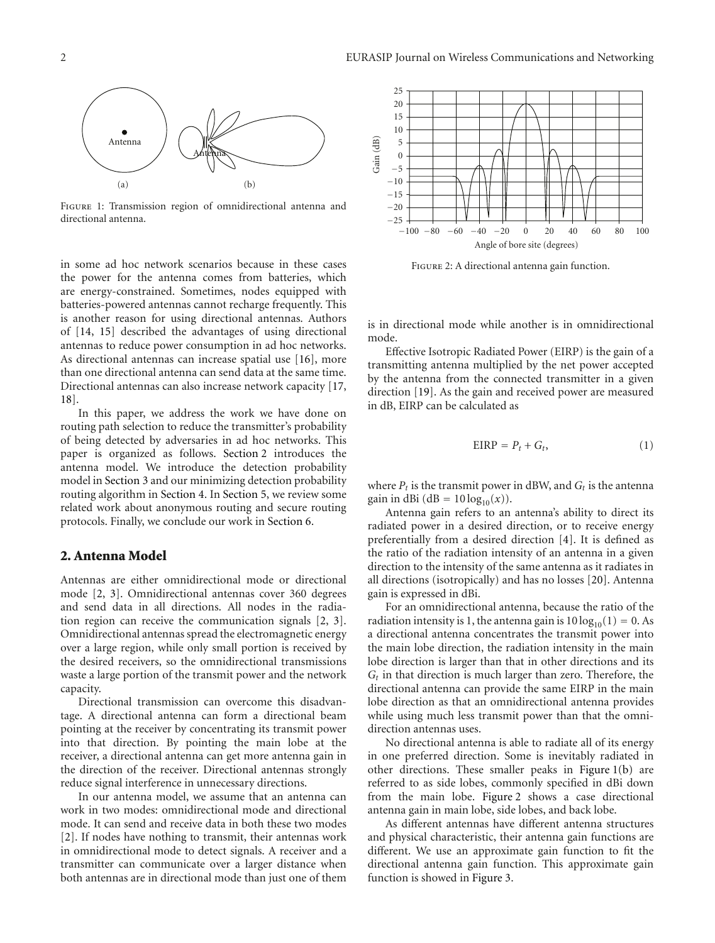

Figure 1: Transmission region of omnidirectional antenna and directional antenna.

in some ad hoc network scenarios because in these cases the power for the antenna comes from batteries, which are energy-constrained. Sometimes, nodes equipped with batteries-powered antennas cannot recharge frequently. This is another reason for using directional antennas. Authors of [14, 15] described the advantages of using directional antennas to reduce power consumption in ad hoc networks. As directional antennas can increase spatial use [16], more than one directional antenna can send data at the same time. Directional antennas can also increase network capacity [17, 18].

In this paper, we address the work we have done on routing path selection to reduce the transmitter's probability of being detected by adversaries in ad hoc networks. This paper is organized as follows. Section 2 introduces the antenna model. We introduce the detection probability model in Section 3 and our minimizing detection probability routing algorithm in Section 4. In Section 5, we review some related work about anonymous routing and secure routing protocols. Finally, we conclude our work in Section 6.

#### **2. Antenna Model**

Antennas are either omnidirectional mode or directional mode [2, 3]. Omnidirectional antennas cover 360 degrees and send data in all directions. All nodes in the radiation region can receive the communication signals [2, 3]. Omnidirectional antennas spread the electromagnetic energy over a large region, while only small portion is received by the desired receivers, so the omnidirectional transmissions waste a large portion of the transmit power and the network capacity.

Directional transmission can overcome this disadvantage. A directional antenna can form a directional beam pointing at the receiver by concentrating its transmit power into that direction. By pointing the main lobe at the receiver, a directional antenna can get more antenna gain in the direction of the receiver. Directional antennas strongly reduce signal interference in unnecessary directions.

In our antenna model, we assume that an antenna can work in two modes: omnidirectional mode and directional mode. It can send and receive data in both these two modes [2]. If nodes have nothing to transmit, their antennas work in omnidirectional mode to detect signals. A receiver and a transmitter can communicate over a larger distance when both antennas are in directional mode than just one of them



Figure 2: A directional antenna gain function.

is in directional mode while another is in omnidirectional mode.

Effective Isotropic Radiated Power (EIRP) is the gain of a transmitting antenna multiplied by the net power accepted by the antenna from the connected transmitter in a given direction [19]. As the gain and received power are measured in dB, EIRP can be calculated as

$$
EIRP = P_t + G_t, \t\t(1)
$$

where  $P_t$  is the transmit power in dBW, and  $G_t$  is the antenna gain in dBi (dB =  $10 \log_{10}(x)$ ).

Antenna gain refers to an antenna's ability to direct its radiated power in a desired direction, or to receive energy preferentially from a desired direction [4]. It is defined as the ratio of the radiation intensity of an antenna in a given direction to the intensity of the same antenna as it radiates in all directions (isotropically) and has no losses [20]. Antenna gain is expressed in dBi.

For an omnidirectional antenna, because the ratio of the radiation intensity is 1, the antenna gain is  $10 \log_{10}(1) = 0$ . As a directional antenna concentrates the transmit power into the main lobe direction, the radiation intensity in the main lobe direction is larger than that in other directions and its  $G_t$  in that direction is much larger than zero. Therefore, the directional antenna can provide the same EIRP in the main lobe direction as that an omnidirectional antenna provides while using much less transmit power than that the omnidirection antennas uses.

No directional antenna is able to radiate all of its energy in one preferred direction. Some is inevitably radiated in other directions. These smaller peaks in Figure 1(b) are referred to as side lobes, commonly specified in dBi down from the main lobe. Figure 2 shows a case directional antenna gain in main lobe, side lobes, and back lobe.

As different antennas have different antenna structures and physical characteristic, their antenna gain functions are different. We use an approximate gain function to fit the directional antenna gain function. This approximate gain function is showed in Figure 3.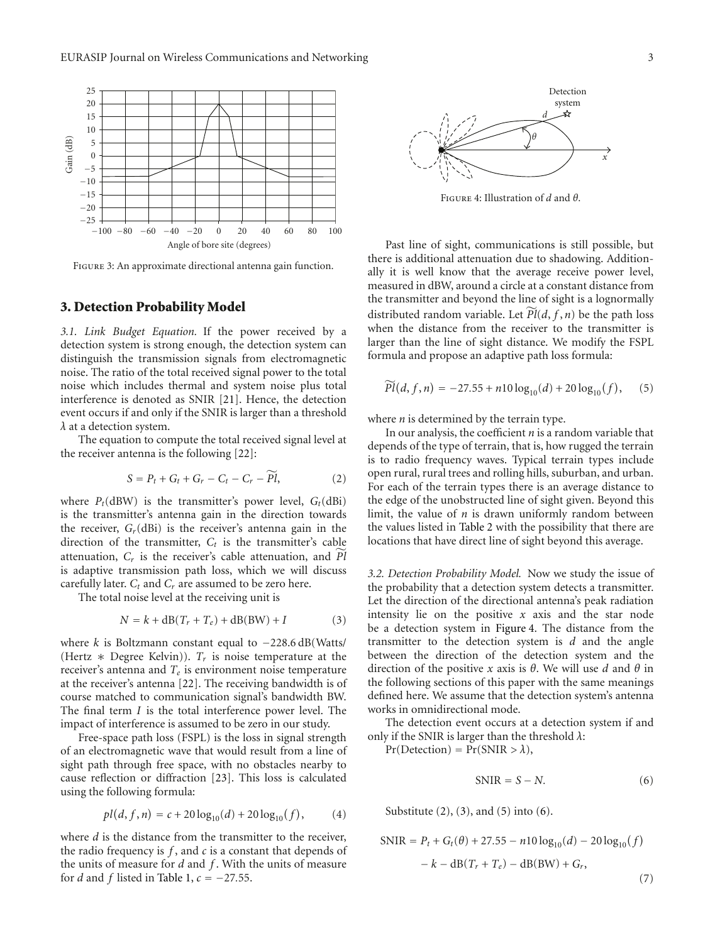

Figure 3: An approximate directional antenna gain function.

#### **3. Detection Probability Model**

*3.1. Link Budget Equation.* If the power received by a detection system is strong enough, the detection system can distinguish the transmission signals from electromagnetic noise. The ratio of the total received signal power to the total noise which includes thermal and system noise plus total interference is denoted as SNIR [21]. Hence, the detection event occurs if and only if the SNIR is larger than a threshold *λ* at a detection system.

The equation to compute the total received signal level at the receiver antenna is the following [22]: *S* to compute the total received then as is the following [22]:<br>*S* = *P<sub>t</sub>* + *G<sub>t</sub>* + *G<sub>r</sub>* − *C<sub>t</sub>* − *C<sub>r</sub>* − *Pl* 

$$
S = P_t + G_t + G_r - C_t - C_r - \widetilde{Pl}, \qquad (2)
$$

where  $P_t$ (dBW) is the transmitter's power level,  $G_t$ (dBi) is the transmitter's antenna gain in the direction towards the receiver,  $G_r$ (dBi) is the receiver's antenna gain in the direction of the transmitter,  $C_t$  is the transmitter's cable atteruation,  $G_r$  (dBi) is the receiver's antenna gain in the direction of the transmitter,  $C_t$  is the transmitter's cable attenuation,  $C_r$  is the receiver's cable attenuation, and  $\tilde{Pl}$ attenuation,  $C_r$  is the receiver's cable attenuation, and  $\tilde{Pl}$ is adaptive transmission path loss, which we will discuss carefully later.  $C_t$  and  $C_r$  are assumed to be zero here.

The total noise level at the receiving unit is

$$
N = k + dB(T_r + T_e) + dB(BW) + I \tag{3}
$$

where *k* is Boltzmann constant equal to −228.6 dB(Watts/ (Hertz ∗ Degree Kelvin)). *Tr* is noise temperature at the receiver's antenna and *Te* is environment noise temperature at the receiver's antenna [22]. The receiving bandwidth is of course matched to communication signal's bandwidth BW. The final term *I* is the total interference power level. The impact of interference is assumed to be zero in our study.

Free-space path loss (FSPL) is the loss in signal strength of an electromagnetic wave that would result from a line of sight path through free space, with no obstacles nearby to cause reflection or diffraction [23]. This loss is calculated<br>using the following formula:<br> $pl(d, f, n) = c + 20 \log_{10}(d) + 20 \log_{10}(f)$ , (4) using the following formula:

$$
pl(d, f, n) = c + 20 \log_{10}(d) + 20 \log_{10}(f), \tag{4}
$$

where *d* is the distance from the transmitter to the receiver, the radio frequency is *f* , and *c* is a constant that depends of the units of measure for *d* and *f* . With the units of measure for *d* and *f* listed in Table 1,  $c = -27.55$ .



Figure 4: Illustration of *d* and *θ*.

Past line of sight, communications is still possible, but there is additional attenuation due to shadowing. Additionally it is well know that the average receive power level, measured in dBW, around a circle at a constant distance from the transmitter and beyond the line of sight is a lognormally measured in dBW, around a circle at a constant distance from<br>the transmitter and beyond the line of sight is a lognormally<br>distributed random variable. Let  $\widetilde{P}(d, f, n)$  be the path loss when the distance from the receiver to the transmitter is larger than the line of sight distance. We modify the FSPL formula and propose an adaptive path loss formula:<br> $\widetilde{Pl}(d, f, n) = -27.55 + n10 \log_{10}(d) + 20 \log_{10}(f)$ 

$$
\widetilde{Pl}(d, f, n) = -27.55 + n10 \log_{10}(d) + 20 \log_{10}(f), \quad (5)
$$

where *n* is determined by the terrain type.

In our analysis, the coefficient *n* is a random variable that depends of the type of terrain, that is, how rugged the terrain is to radio frequency waves. Typical terrain types include open rural, rural trees and rolling hills, suburban, and urban. For each of the terrain types there is an average distance to the edge of the unobstructed line of sight given. Beyond this limit, the value of *n* is drawn uniformly random between the values listed in Table 2 with the possibility that there are locations that have direct line of sight beyond this average.

*3.2. Detection Probability Model.* Now we study the issue of the probability that a detection system detects a transmitter. Let the direction of the directional antenna's peak radiation intensity lie on the positive *x* axis and the star node be a detection system in Figure 4. The distance from the transmitter to the detection system is *d* and the angle between the direction of the detection system and the direction of the positive *x* axis is *θ*. We will use *d* and *θ* in the following sections of this paper with the same meanings defined here. We assume that the detection system's antenna works in omnidirectional mode.

The detection event occurs at a detection system if and only if the SNIR is larger than the threshold *λ*:

 $Pr(Detection) = Pr(SNIR > \lambda),$ 

$$
SNIR = S - N.\t\t(6)
$$

Substitute  $(2)$ ,  $(3)$ , and  $(5)$  into  $(6)$ .

SNIR = 
$$
P_t + G_t(\theta) + 27.55 - n10 \log_{10}(d) - 20 \log_{10}(f)
$$
  
-  $k - \text{dB}(T_r + T_e) - \text{dB(BW)} + G_r,$  (7)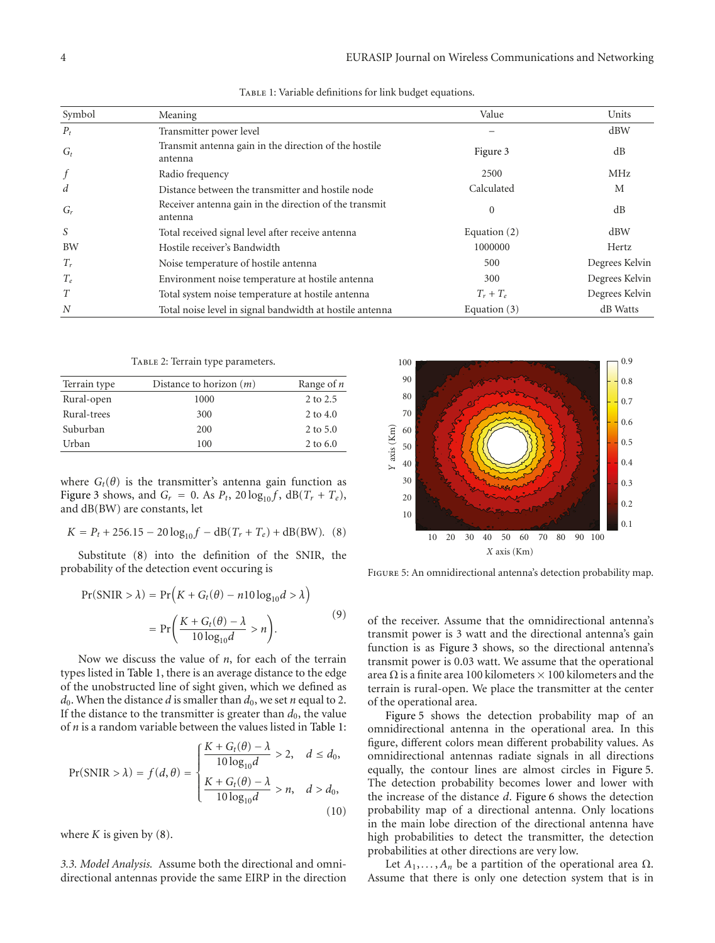| Symbol    | Meaning                                                           | Value          | Units          |
|-----------|-------------------------------------------------------------------|----------------|----------------|
| $P_t$     | Transmitter power level                                           |                | dBW            |
| $G_t$     | Transmit antenna gain in the direction of the hostile<br>antenna  | Figure 3       | dB             |
| $\int$    | Radio frequency                                                   | 2500           | <b>MHz</b>     |
| d         | Distance between the transmitter and hostile node                 | Calculated     | M              |
| $G_r$     | Receiver antenna gain in the direction of the transmit<br>antenna | $\mathbf{0}$   | dB             |
| S         | Total received signal level after receive antenna                 | Equation $(2)$ | dBW            |
| <b>BW</b> | Hostile receiver's Bandwidth                                      | 1000000        | Hertz          |
| $T_r$     | Noise temperature of hostile antenna                              | 500            | Degrees Kelvin |
| $T_e$     | Environment noise temperature at hostile antenna                  | 300            | Degrees Kelvin |
| T         | Total system noise temperature at hostile antenna                 | $T_r + T_e$    | Degrees Kelvin |
| N         | Total noise level in signal bandwidth at hostile antenna          | Equation $(3)$ | dB Watts       |

TABLE 1: Variable definitions for link budget equations.

TABLE 2: Terrain type parameters.

| Terrain type | Distance to horizon $(m)$ | Range of $n$ |
|--------------|---------------------------|--------------|
| Rural-open   | 1000                      | 2 to 2.5     |
| Rural-trees  | 300                       | 2 to 4.0     |
| Suburban     | 200                       | 2 to 5.0     |
| Urban        | 100                       | 2 to 6.0     |

where  $G_t(\theta)$  is the transmitter's antenna gain function as Figure 3 shows, and  $G_r = 0$ . As  $P_t$ , 20  $\log_{10} f$ ,  $dB(T_r + T_e)$ , and dB(BW) are constants, let

$$
K = P_t + 256.15 - 20 \log_{10} f - \text{dB}(T_r + T_e) + \text{dB(BW)}.
$$
 (8)

Substitute (8) into the definition of the SNIR, the bability of the detection event occuring is<br>*Pr*(*SNIR* >  $\lambda$ ) = *Pr*(*K* + *G<sub>t</sub>*(*θ*) − *n*10 log<sub>10</sub>*d* >  $\lambda$ ) probability of the detection event occuring is Substitute (8) into<br>ability of the detection<br> $Pr(SNIR > \lambda) = Pr($ 

$$
Pr(SNIR > \lambda) = Pr(K + G_t(\theta) - n10 \log_{10} d > \lambda)
$$

$$
= Pr\left(\frac{K + G_t(\theta) - \lambda}{10 \log_{10} d} > n\right).
$$
(9)

Now we discuss the value of *n*, for each of the terrain types listed in Table 1, there is an average distance to the edge of the unobstructed line of sight given, which we defined as  $d_0$ . When the distance *d* is smaller than  $d_0$ , we set *n* equal to 2. If the distance to the transmitter is greater than  $d_0$ , the value It the distance to the transmitter is greater than  $d_0$ , the value<br>of  $n$  is a random variable between the values listed in Table 1:

$$
Pr(SNIR > \lambda) = f(d, \theta) = \begin{cases} \frac{K + G_t(\theta) - \lambda}{10 \log_{10} d} > 2, & d \le d_0, \\ \frac{K + G_t(\theta) - \lambda}{10 \log_{10} d} > n, & d > d_0, \end{cases}
$$
(10)

where  $K$  is given by  $(8)$ .

*3.3. Model Analysis.* Assume both the directional and omnidirectional antennas provide the same EIRP in the direction



Figure 5: An omnidirectional antenna's detection probability map.

of the receiver. Assume that the omnidirectional antenna's transmit power is 3 watt and the directional antenna's gain function is as Figure 3 shows, so the directional antenna's transmit power is 0.03 watt. We assume that the operational area  $\Omega$  is a finite area 100 kilometers  $\times$  100 kilometers and the terrain is rural-open. We place the transmitter at the center of the operational area.

Figure 5 shows the detection probability map of an omnidirectional antenna in the operational area. In this figure, different colors mean different probability values. As omnidirectional antennas radiate signals in all directions equally, the contour lines are almost circles in Figure 5. The detection probability becomes lower and lower with the increase of the distance *d*. Figure 6 shows the detection probability map of a directional antenna. Only locations in the main lobe direction of the directional antenna have high probabilities to detect the transmitter, the detection probabilities at other directions are very low.

Let  $A_1, \ldots, A_n$  be a partition of the operational area  $\Omega$ . Assume that there is only one detection system that is in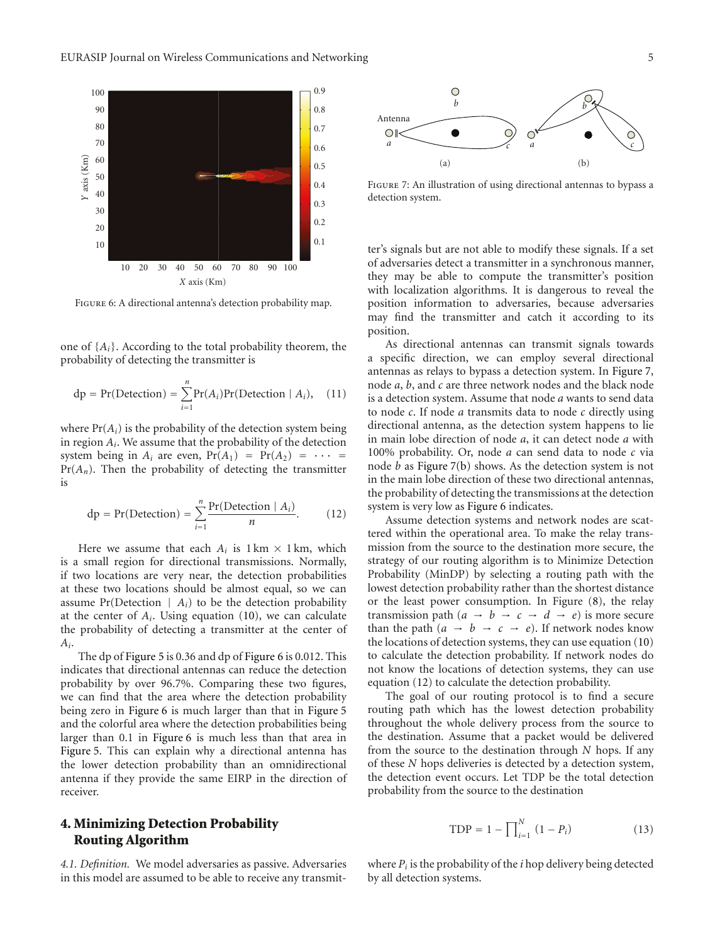

Figure 6: A directional antenna's detection probability map.

one of {*Ai*}. According to the total probability theorem, the

one of {*A<sub>i</sub>*}. According to the total probability theorem, the probability of detecting the transmitter is  
\n
$$
dp = Pr(Detection) = \sum_{i=1}^{n} Pr(A_i)Pr(Detection | A_i), \quad (11)
$$

where  $Pr(A_i)$  is the probability of the detection system being in region *Ai*. We assume that the probability of the detection system being in  $A_i$  are even,  $Pr(A_1) = Pr(A_2) = \cdots$ Pr(*A<sub>n</sub>*). Then the probability of detecting the transmitter<br>is<br> $dp = Pr(Detection) = \sum_{n=0}^{n} \frac{Pr(Detection \mid A_i)}{n}$ . (12) is

$$
dp = Pr(Detection) = \sum_{i=1}^{n} \frac{Pr(Detection \mid A_i)}{n}.
$$
 (12)

Here we assume that each  $A_i$  is  $1 \text{ km} \times 1 \text{ km}$ , which is a small region for directional transmissions. Normally, if two locations are very near, the detection probabilities at these two locations should be almost equal, so we can assume  $Pr(Detection \mid A_i)$  to be the detection probability at the center of *Ai*. Using equation (10), we can calculate the probability of detecting a transmitter at the center of *Ai*.

The dp of Figure 5 is 0.36 and dp of Figure 6 is 0.012. This indicates that directional antennas can reduce the detection probability by over 96.7%. Comparing these two figures, we can find that the area where the detection probability being zero in Figure 6 is much larger than that in Figure 5 and the colorful area where the detection probabilities being larger than 0.1 in Figure 6 is much less than that area in Figure 5. This can explain why a directional antenna has the lower detection probability than an omnidirectional antenna if they provide the same EIRP in the direction of receiver.

# **4. Minimizing Detection Probability Routing Algorithm**

*4.1. Definition.* We model adversaries as passive. Adversaries in this model are assumed to be able to receive any transmit-



Figure 7: An illustration of using directional antennas to bypass a detection system.

ter's signals but are not able to modify these signals. If a set of adversaries detect a transmitter in a synchronous manner, they may be able to compute the transmitter's position with localization algorithms. It is dangerous to reveal the position information to adversaries, because adversaries may find the transmitter and catch it according to its position.

As directional antennas can transmit signals towards a specific direction, we can employ several directional antennas as relays to bypass a detection system. In Figure 7, node *a*, *b*, and *c* are three network nodes and the black node is a detection system. Assume that node *a* wants to send data to node *c*. If node *a* transmits data to node *c* directly using directional antenna, as the detection system happens to lie in main lobe direction of node *a*, it can detect node *a* with 100% probability. Or, node *a* can send data to node *c* via node *b* as Figure 7(b) shows. As the detection system is not in the main lobe direction of these two directional antennas, the probability of detecting the transmissions at the detection system is very low as Figure 6 indicates.

Assume detection systems and network nodes are scattered within the operational area. To make the relay transmission from the source to the destination more secure, the strategy of our routing algorithm is to Minimize Detection Probability (MinDP) by selecting a routing path with the lowest detection probability rather than the shortest distance or the least power consumption. In Figure (8), the relay transmission path  $(a \rightarrow b \rightarrow c \rightarrow d \rightarrow e)$  is more secure than the path  $(a \rightarrow b \rightarrow c \rightarrow e)$ . If network nodes know the locations of detection systems, they can use equation (10) to calculate the detection probability. If network nodes do not know the locations of detection systems, they can use equation (12) to calculate the detection probability.

The goal of our routing protocol is to find a secure routing path which has the lowest detection probability throughout the whole delivery process from the source to the destination. Assume that a packet would be delivered from the source to the destination through *N* hops. If any of these *N* hops deliveries is detected by a detection system, the detection event occurs. Let TDP be the total detection probability from the source to the destination<br>  $\text{TOP} = 1 - \prod_{i=1}^{N} (1 - P_i)$ 

$$
TDP = 1 - \prod_{i=1}^{N} (1 - P_i)
$$
 (13)

where  $P_i$  is the probability of the  $i$  hop delivery being detected by all detection systems.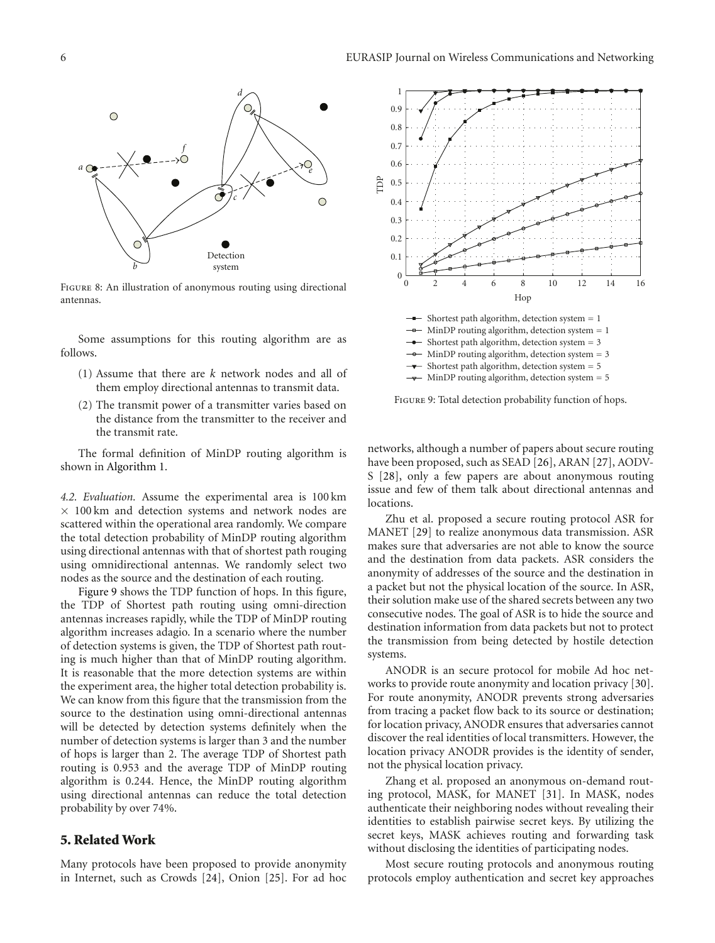

Figure 8: An illustration of anonymous routing using directional antennas.

Some assumptions for this routing algorithm are as follows.

- (1) Assume that there are *k* network nodes and all of them employ directional antennas to transmit data.
- (2) The transmit power of a transmitter varies based on the distance from the transmitter to the receiver and the transmit rate.

The formal definition of MinDP routing algorithm is shown in Algorithm 1.

*4.2. Evaluation.* Assume the experimental area is 100 km  $\times$  100 km and detection systems and network nodes are scattered within the operational area randomly. We compare the total detection probability of MinDP routing algorithm using directional antennas with that of shortest path rouging using omnidirectional antennas. We randomly select two nodes as the source and the destination of each routing.

Figure 9 shows the TDP function of hops. In this figure, the TDP of Shortest path routing using omni-direction antennas increases rapidly, while the TDP of MinDP routing algorithm increases adagio. In a scenario where the number of detection systems is given, the TDP of Shortest path routing is much higher than that of MinDP routing algorithm. It is reasonable that the more detection systems are within the experiment area, the higher total detection probability is. We can know from this figure that the transmission from the source to the destination using omni-directional antennas will be detected by detection systems definitely when the number of detection systems is larger than 3 and the number of hops is larger than 2. The average TDP of Shortest path routing is 0.953 and the average TDP of MinDP routing algorithm is 0.244. Hence, the MinDP routing algorithm using directional antennas can reduce the total detection probability by over 74%.

#### **5. Related Work**

Many protocols have been proposed to provide anonymity in Internet, such as Crowds [24], Onion [25]. For ad hoc



Figure 9: Total detection probability function of hops.

networks, although a number of papers about secure routing have been proposed, such as SEAD [26], ARAN [27], AODV-S [28], only a few papers are about anonymous routing issue and few of them talk about directional antennas and locations.

Zhu et al. proposed a secure routing protocol ASR for MANET [29] to realize anonymous data transmission. ASR makes sure that adversaries are not able to know the source and the destination from data packets. ASR considers the anonymity of addresses of the source and the destination in a packet but not the physical location of the source. In ASR, their solution make use of the shared secrets between any two consecutive nodes. The goal of ASR is to hide the source and destination information from data packets but not to protect the transmission from being detected by hostile detection systems.

ANODR is an secure protocol for mobile Ad hoc networks to provide route anonymity and location privacy [30]. For route anonymity, ANODR prevents strong adversaries from tracing a packet flow back to its source or destination; for location privacy, ANODR ensures that adversaries cannot discover the real identities of local transmitters. However, the location privacy ANODR provides is the identity of sender, not the physical location privacy.

Zhang et al. proposed an anonymous on-demand routing protocol, MASK, for MANET [31]. In MASK, nodes authenticate their neighboring nodes without revealing their identities to establish pairwise secret keys. By utilizing the secret keys, MASK achieves routing and forwarding task without disclosing the identities of participating nodes.

Most secure routing protocols and anonymous routing protocols employ authentication and secret key approaches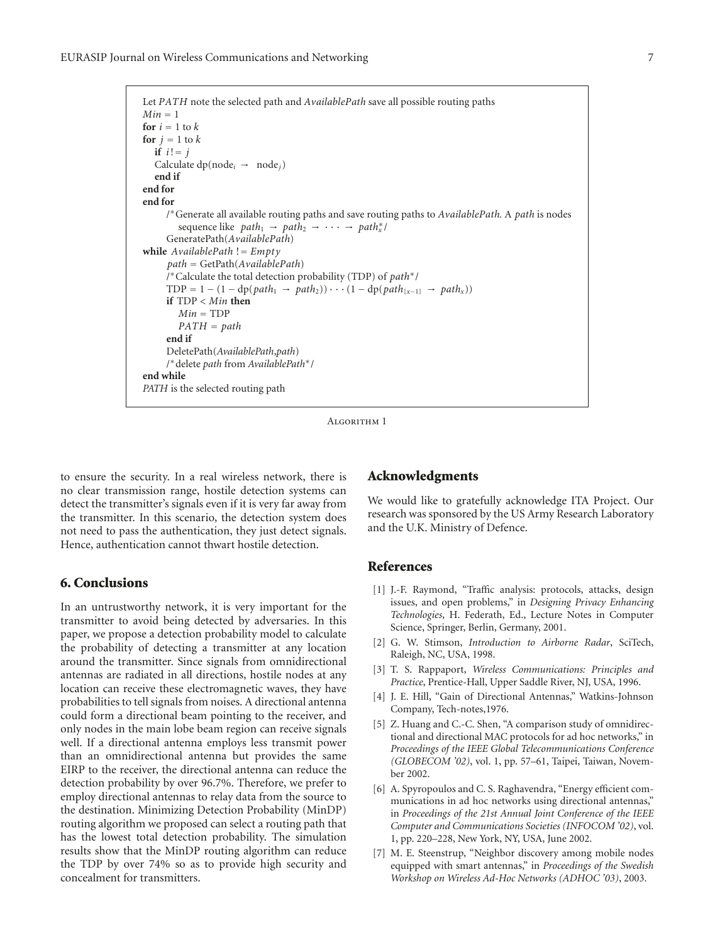EURASIP Journal on Wireless Communications and Networking 7

```
Let PATH note the selected path and AvailablePath save all possible routing paths
Min = 1for i = 1 to kfor j = 1 to kif i! = jCalculate dp(node_i \rightarrow node_j)end if
end for
end for
      /
∗Generate all available routing paths and save routing paths to AvailablePath. A path is nodes
         sequence like path_1 \rightarrow path_2 \rightarrow \cdots \rightarrow path_*^*GeneratePath(AvailablePath)
while AvailablePath != Empty
      path = GetPath(AvailablePath)
      /
∗Calculate the total detection probability (TDP) of path∗/
     TDP = 1 - (1 - dp(path_1 \rightarrow path_2)) \cdot \cdot \cdot (1 - dp(path_{\{x-1\}} \rightarrow path_x))if TDP < Min then
         Min = TDPPATH = path
      end if
     DeletePath(AvailablePath,path)
      /
∗delete path from AvailablePath∗/
end while
PATH is the selected routing path
```
ALGORITHM 1

to ensure the security. In a real wireless network, there is no clear transmission range, hostile detection systems can detect the transmitter's signals even if it is very far away from the transmitter. In this scenario, the detection system does not need to pass the authentication, they just detect signals. Hence, authentication cannot thwart hostile detection.

# **6. Conclusions**

In an untrustworthy network, it is very important for the transmitter to avoid being detected by adversaries. In this paper, we propose a detection probability model to calculate the probability of detecting a transmitter at any location around the transmitter. Since signals from omnidirectional antennas are radiated in all directions, hostile nodes at any location can receive these electromagnetic waves, they have probabilities to tell signals from noises. A directional antenna could form a directional beam pointing to the receiver, and only nodes in the main lobe beam region can receive signals well. If a directional antenna employs less transmit power than an omnidirectional antenna but provides the same EIRP to the receiver, the directional antenna can reduce the detection probability by over 96.7%. Therefore, we prefer to employ directional antennas to relay data from the source to the destination. Minimizing Detection Probability (MinDP) routing algorithm we proposed can select a routing path that has the lowest total detection probability. The simulation results show that the MinDP routing algorithm can reduce the TDP by over 74% so as to provide high security and concealment for transmitters.

## **Acknowledgments**

We would like to gratefully acknowledge ITA Project. Our research was sponsored by the US Army Research Laboratory and the U.K. Ministry of Defence.

### **References**

- [1] J.-F. Raymond, "Traffic analysis: protocols, attacks, design issues, and open problems," in *Designing Privacy Enhancing Technologies*, H. Federath, Ed., Lecture Notes in Computer Science, Springer, Berlin, Germany, 2001.
- [2] G. W. Stimson, *Introduction to Airborne Radar*, SciTech, Raleigh, NC, USA, 1998.
- [3] T. S. Rappaport, *Wireless Communications: Principles and Practice*, Prentice-Hall, Upper Saddle River, NJ, USA, 1996.
- [4] J. E. Hill, "Gain of Directional Antennas," Watkins-Johnson Company, Tech-notes,1976.
- [5] Z. Huang and C.-C. Shen, "A comparison study of omnidirectional and directional MAC protocols for ad hoc networks," in *Proceedings of the IEEE Global Telecommunications Conference (GLOBECOM '02)*, vol. 1, pp. 57–61, Taipei, Taiwan, November 2002.
- [6] A. Spyropoulos and C. S. Raghavendra, "Energy efficient communications in ad hoc networks using directional antennas," in *Proceedings of the 21st Annual Joint Conference of the IEEE Computer and Communications Societies (INFOCOM '02)*, vol. 1, pp. 220–228, New York, NY, USA, June 2002.
- [7] M. E. Steenstrup, "Neighbor discovery among mobile nodes equipped with smart antennas," in *Proceedings of the Swedish Workshop on Wireless Ad-Hoc Networks (ADHOC '03)*, 2003.